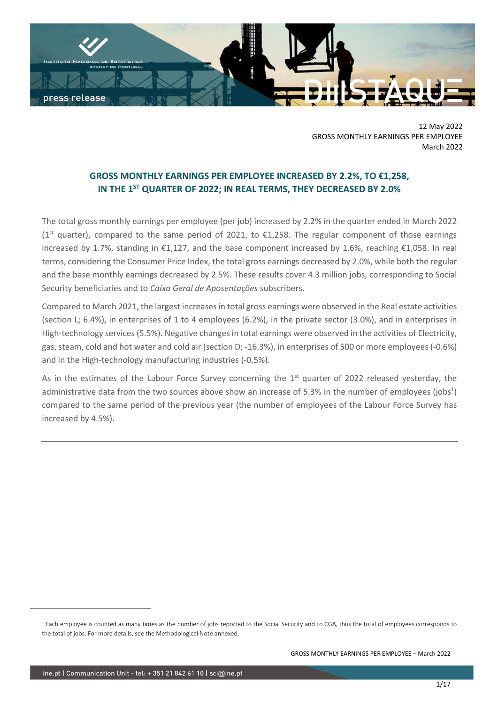

12 May 2022 GROSS MONTHLY EARNINGS PER EMPLOYEE March 2022

# **GROSS MONTHLY EARNINGS PER EMPLOYEE INCREASED BY 2.2%, TO €1,258, IN THE 1 ST QUARTER OF 2022; IN REAL TERMS, THEY DECREASED BY 2.0%**

The total gross monthly earnings per employee (per job) increased by 2.2% in the quarter ended in March 2022  $(1<sup>st</sup>$  quarter), compared to the same period of 2021, to  $\epsilon$ 1,258. The regular component of those earnings increased by 1.7%, standing in €1,127, and the base component increased by 1.6%, reaching €1,058. In real terms, considering the Consumer Price Index, the total gross earnings decreased by 2.0%, while both the regular and the base monthly earnings decreased by 2.5%. These results cover 4.3 million jobs, corresponding to Social Security beneficiaries and to *Caixa Geral de Aposentações* subscribers.

Compared to March 2021, the largest increases in total gross earnings were observed in the Real estate activities (section L; 6.4%), in enterprises of 1 to 4 employees (6.2%), in the private sector (3.0%), and in enterprises in High-technology services (5.5%). Negative changes in total earnings were observed in the activities of Electricity, gas, steam, cold and hot water and cold air (section D; -16.3%), in enterprises of 500 or more employees (-0.6%) and in the High-technology manufacturing industries (-0.5%).

As in the estimates of the Labour Force Survey concerning the 1<sup>st</sup> quarter of 2022 released yesterday, the administrative data from the two sources above show an increase of 5.3% in the number of employees (jobs<sup>1</sup>) compared to the same period of the previous year (the number of employees of the Labour Force Survey has increased by 4.5%).

<sup>&</sup>lt;sup>1</sup> Each employee is counted as many times as the number of jobs reported to the Social Security and to CGA, thus the total of employees corresponds to the total of jobs. For more details, see the Methodological Note annexed.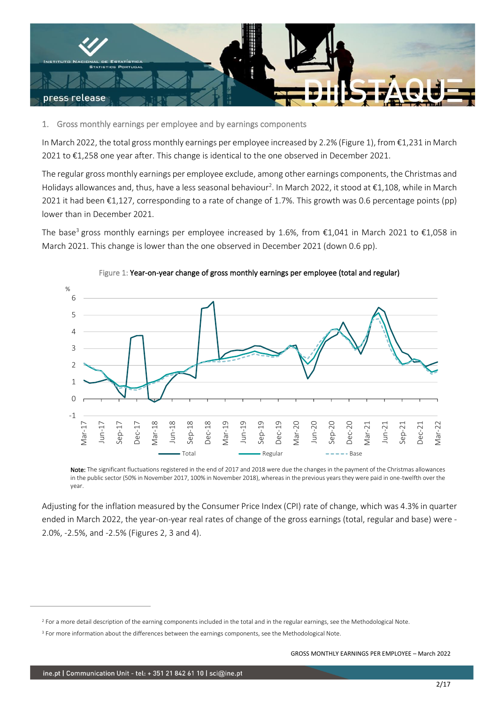

1. Gross monthly earnings per employee and by earnings components

In March 2022, the total gross monthly earnings per employee increased by 2.2% (Figure 1), from €1,231 in March 2021 to €1,258 one year after. This change is identical to the one observed in December 2021.

The regular gross monthly earnings per employee exclude, among other earnings components, the Christmas and Holidays allowances and, thus, have a less seasonal behaviour<sup>2</sup>. In March 2022, it stood at €1,108, while in March 2021 it had been €1,127, corresponding to a rate of change of 1.7%. This growth was 0.6 percentage points (pp) lower than in December 2021.

The base<sup>3</sup> gross monthly earnings per employee increased by 1.6%, from  $\epsilon$ 1,041 in March 2021 to  $\epsilon$ 1,058 in March 2021. This change is lower than the one observed in December 2021 (down 0.6 pp).





Note: The significant fluctuations registered in the end of 2017 and 2018 were due the changes in the payment of the Christmas allowances in the public sector (50% in November 2017, 100% in November 2018), whereas in the previous years they were paid in one-twelfth over the year.

Adjusting for the inflation measured by the Consumer Price Index (CPI) rate of change, which was 4.3% in quarter ended in March 2022, the year-on-year real rates of change of the gross earnings (total, regular and base) were - 2.0%, -2.5%, and -2.5% (Figures 2, 3 and 4).

<sup>&</sup>lt;sup>2</sup> For a more detail description of the earning components included in the total and in the regular earnings, see the Methodological Note.

<sup>&</sup>lt;sup>3</sup> For more information about the differences between the earnings components, see the Methodological Note.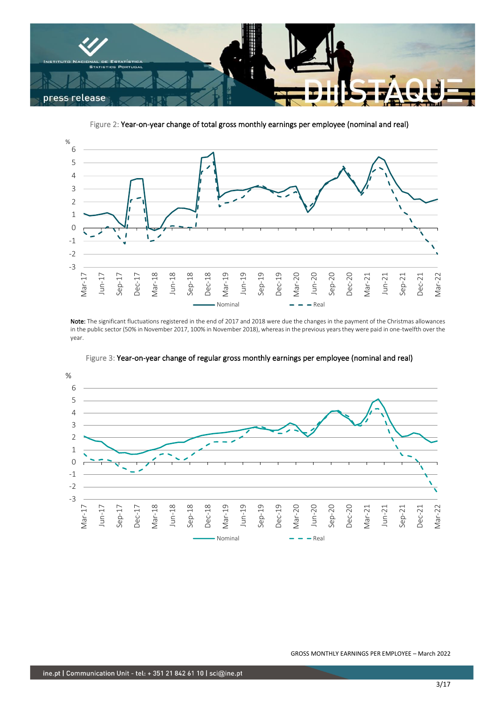

Figure 2: Year-on-year change of total gross monthly earnings per employee (nominal and real)



Note: The significant fluctuations registered in the end of 2017 and 2018 were due the changes in the payment of the Christmas allowances in the public sector (50% in November 2017, 100% in November 2018), whereas in the previous years they were paid in one-twelfth over the year.



Figure 3: Year-on-year change of regular gross monthly earnings per employee (nominal and real)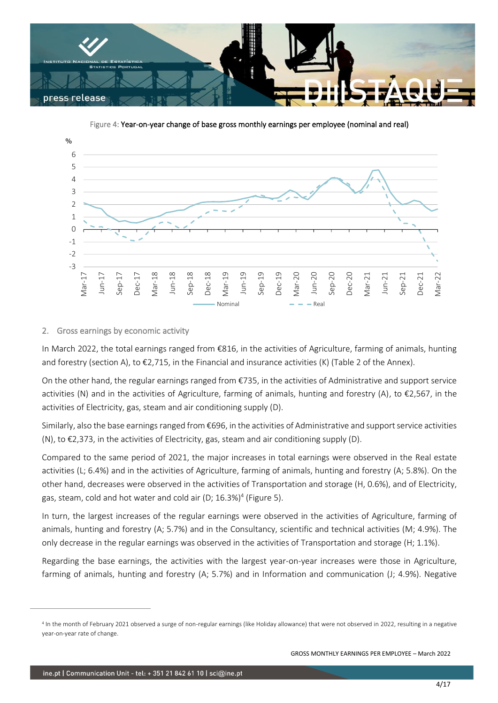

Figure 4: Year-on-year change of base gross monthly earnings per employee (nominal and real)



## 2. Gross earnings by economic activity

In March 2022, the total earnings ranged from €816, in the activities of Agriculture, farming of animals, hunting and forestry (section A), to  $\epsilon$ 2,715, in the Financial and insurance activities (K) (Table 2 of the Annex).

On the other hand, the regular earnings ranged from  $\epsilon$ 735, in the activities of Administrative and support service activities (N) and in the activities of Agriculture, farming of animals, hunting and forestry (A), to €2,567, in the activities of Electricity, gas, steam and air conditioning supply (D).

Similarly, also the base earnings ranged from €696, in the activities of Administrative and support service activities (N), to €2,373, in the activities of Electricity, gas, steam and air conditioning supply (D).

Compared to the same period of 2021, the major increases in total earnings were observed in the Real estate activities (L; 6.4%) and in the activities of Agriculture, farming of animals, hunting and forestry (A; 5.8%). On the other hand, decreases were observed in the activities of Transportation and storage (H, 0.6%), and of Electricity, gas, steam, cold and hot water and cold air (D; 16.3%)<sup>4</sup> (Figure 5).

In turn, the largest increases of the regular earnings were observed in the activities of Agriculture, farming of animals, hunting and forestry (A; 5.7%) and in the Consultancy, scientific and technical activities (M; 4.9%). The only decrease in the regular earnings was observed in the activities of Transportation and storage (H; 1.1%).

Regarding the base earnings, the activities with the largest year-on-year increases were those in Agriculture, farming of animals, hunting and forestry (A; 5.7%) and in Information and communication (J; 4.9%). Negative

<sup>4</sup> In the month of February 2021 observed a surge of non-regular earnings (like Holiday allowance) that were not observed in 2022, resulting in a negative year-on-year rate of change.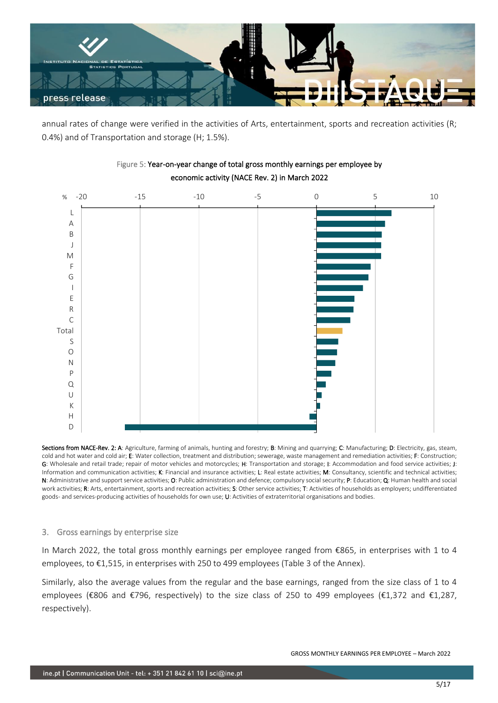

annual rates of change were verified in the activities of Arts, entertainment, sports and recreation activities (R; 0.4%) and of Transportation and storage (H; 1.5%).



# Figure 5: Year-on-year change of total gross monthly earnings per employee by economic activity (NACE Rev. 2) in March 2022

Sections from NACE-Rev. 2: A: Agriculture, farming of animals, hunting and forestry; B: Mining and quarrying; C: Manufacturing; D: Electricity, gas, steam, cold and hot water and cold air; E: Water collection, treatment and distribution; sewerage, waste management and remediation activities; F: Construction; G: Wholesale and retail trade; repair of motor vehicles and motorcycles; H: Transportation and storage; I: Accommodation and food service activities; J: Information and communication activities; K: Financial and insurance activities; L: Real estate activities; M: Consultancy, scientific and technical activities; N: Administrative and support service activities; O: Public administration and defence; compulsory social security; P: Education; Q: Human health and social work activities; R: Arts, entertainment, sports and recreation activities; S: Other service activities; T: Activities of households as employers; undifferentiated goods- and services-producing activities of households for own use; U: Activities of extraterritorial organisations and bodies.

## 3. Gross earnings by enterprise size

In March 2022, the total gross monthly earnings per employee ranged from €865, in enterprises with 1 to 4 employees, to €1,515, in enterprises with 250 to 499 employees (Table 3 of the Annex).

Similarly, also the average values from the regular and the base earnings, ranged from the size class of 1 to 4 employees (€806 and €796, respectively) to the size class of 250 to 499 employees (€1,372 and €1,287, respectively).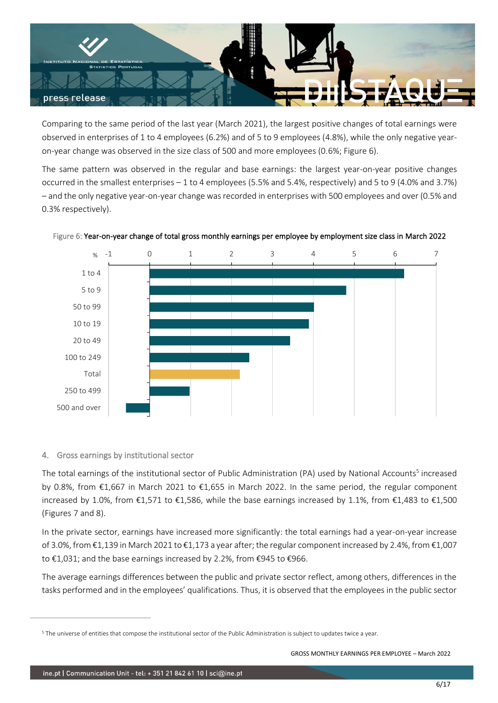

Comparing to the same period of the last year (March 2021), the largest positive changes of total earnings were observed in enterprises of 1 to 4 employees (6.2%) and of 5 to 9 employees (4.8%), while the only negative yearon-year change was observed in the size class of 500 and more employees (0.6%; Figure 6).

The same pattern was observed in the regular and base earnings: the largest year-on-year positive changes occurred in the smallest enterprises – 1 to 4 employees (5.5% and 5.4%, respectively) and 5 to 9 (4.0% and 3.7%) – and the only negative year-on-year change was recorded in enterprises with 500 employees and over (0.5% and 0.3% respectively).



Figure 6: Year-on-year change of total gross monthly earnings per employee by employment size class in March 2022

# 4. Gross earnings by institutional sector

The total earnings of the institutional sector of Public Administration (PA) used by National Accounts<sup>5</sup> increased by 0.8%, from €1,667 in March 2021 to €1,655 in March 2022. In the same period, the regular component increased by 1.0%, from €1,571 to €1,586, while the base earnings increased by 1.1%, from €1,483 to €1,500 (Figures 7 and 8).

In the private sector, earnings have increased more significantly: the total earnings had a year-on-year increase of 3.0%, from €1,139 in March 2021 to €1,173 a year after; the regular component increased by 2.4%, from €1,007 to €1,031; and the base earnings increased by 2.2%, from €945 to €966.

The average earnings differences between the public and private sector reflect, among others, differences in the tasks performed and in the employees' qualifications. Thus, it is observed that the employees in the public sector

<sup>5</sup> The universe of entities that compose the institutional sector of the Public Administration is subject to updates twice a year.

GROSS MONTHLY EARNINGS PER EMPLOYEE – March 2022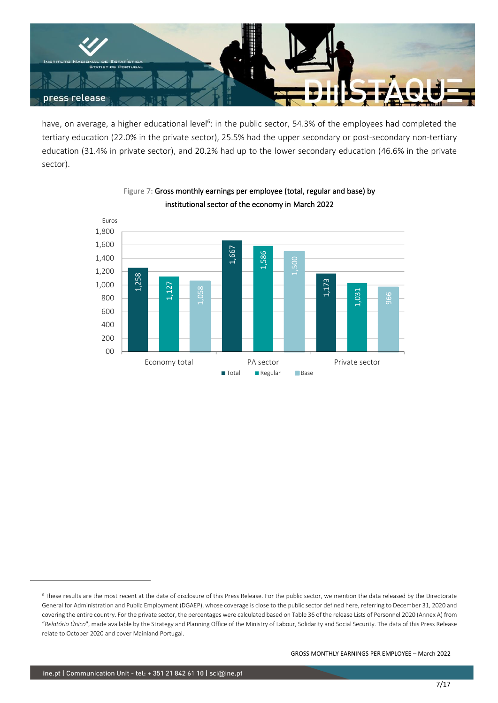

have, on average, a higher educational level<sup>6</sup>: in the public sector, 54.3% of the employees had completed the tertiary education (22.0% in the private sector), 25.5% had the upper secondary or post-secondary non-tertiary education (31.4% in private sector), and 20.2% had up to the lower secondary education (46.6% in the private sector).



# Figure 7: Gross monthly earnings per employee (total, regular and base) by institutional sector of the economy in March 2022

<sup>6</sup> These results are the most recent at the date of disclosure of this Press Release. For the public sector, we mention the data released by the Directorate General for Administration and Public Employment (DGAEP), whose coverage is close to the public sector defined here, referring to December 31, 2020 and covering the entire country. For the private sector, the percentages were calculated based on Table 36 of the release Lists of Personnel 2020 (Annex A) from "*Relatório Único*", made available by the Strategy and Planning Office of the Ministry of Labour, Solidarity and Social Security. The data of this Press Release relate to October 2020 and cover Mainland Portugal.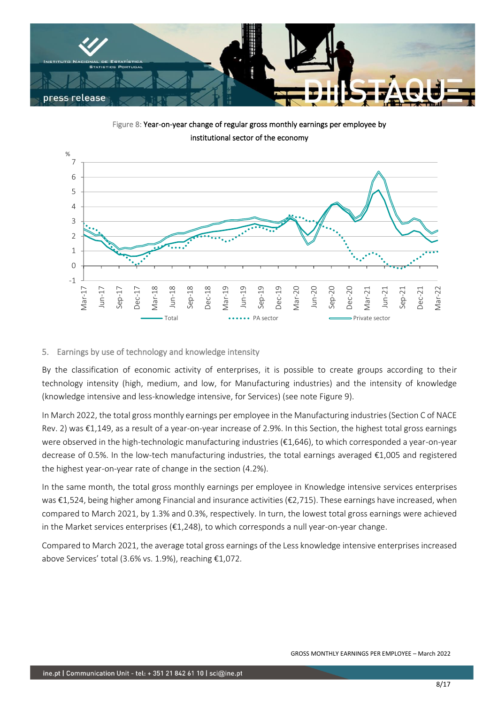

Figure 8: Year-on-year change of regular gross monthly earnings per employee by institutional sector of the economy



## 5. Earnings by use of technology and knowledge intensity

By the classification of economic activity of enterprises, it is possible to create groups according to their technology intensity (high, medium, and low, for Manufacturing industries) and the intensity of knowledge (knowledge intensive and less-knowledge intensive, for Services) (see note Figure 9).

In March 2022, the total gross monthly earnings per employee in the Manufacturing industries (Section C of NACE Rev. 2) was €1,149, as a result of a year-on-year increase of 2.9%. In this Section, the highest total gross earnings were observed in the high-technologic manufacturing industries (€1,646), to which corresponded a year-on-year decrease of 0.5%. In the low-tech manufacturing industries, the total earnings averaged €1,005 and registered the highest year-on-year rate of change in the section (4.2%).

In the same month, the total gross monthly earnings per employee in Knowledge intensive services enterprises was €1,524, being higher among Financial and insurance activities (€2,715). These earnings have increased, when compared to March 2021, by 1.3% and 0.3%, respectively. In turn, the lowest total gross earnings were achieved in the Market services enterprises (€1,248), to which corresponds a null year-on-year change.

Compared to March 2021, the average total gross earnings of the Less knowledge intensive enterprises increased above Services' total (3.6% vs. 1.9%), reaching €1,072.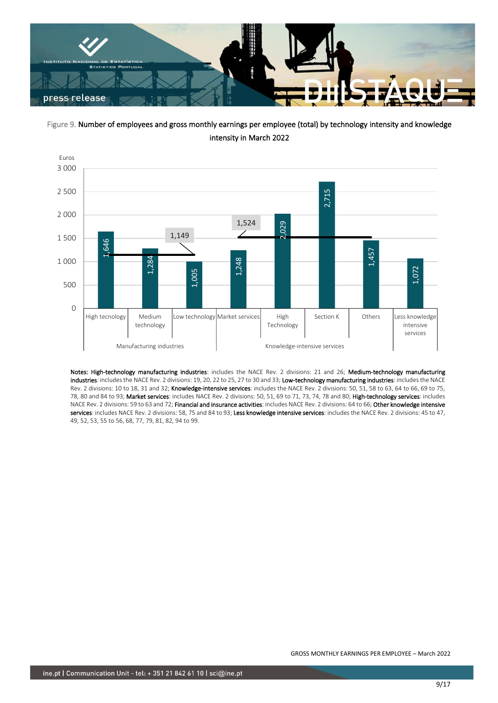

Figure 9. Number of employees and gross monthly earnings per employee (total) by technology intensity and knowledge intensity in March 2022



Notes: High-technology manufacturing industries: includes the NACE Rev. 2 divisions: 21 and 26; Medium-technology manufacturing industries: includes the NACE Rev. 2 divisions: 19, 20, 22 to 25, 27 to 30 and 33; Low-technology manufacturing industries: includes the NACE Rev. 2 divisions: 10 to 18, 31 and 32; Knowledge-intensive services: includes the NACE Rev. 2 divisions: 50, 51, 58 to 63, 64 to 66, 69 to 75, 78, 80 and 84 to 93; Market services: includes NACE Rev. 2 divisions: 50, 51, 69 to 71, 73, 74, 78 and 80; High-technology services: includes NACE Rev. 2 divisions: 59 to 63 and 72; Financial and insurance activities: includes NACE Rev. 2 divisions: 64 to 66; Other knowledge intensive services: includes NACE Rev. 2 divisions: 58, 75 and 84 to 93; Less knowledge intensive services: includes the NACE Rev. 2 divisions: 45 to 47, 49, 52, 53, 55 to 56, 68, 77, 79, 81, 82, 94 to 99.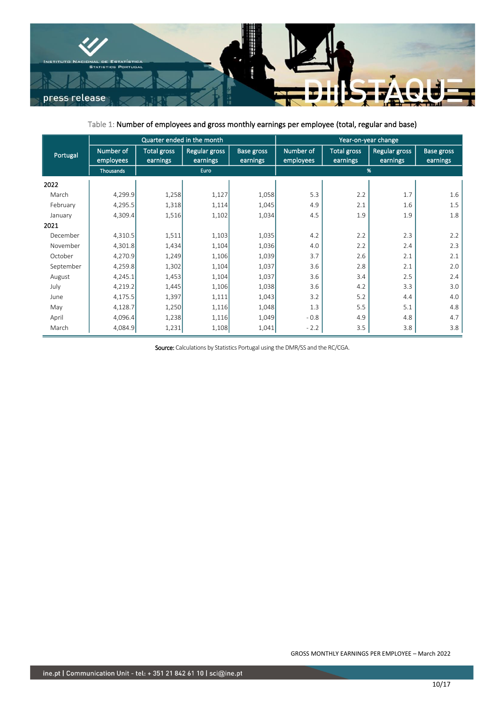

Table 1: Number of employees and gross monthly earnings per employee (total, regular and base)

|           | Quarter ended in the month |                                |                           |                               | Year-on-year change    |                                |                                  |                               |
|-----------|----------------------------|--------------------------------|---------------------------|-------------------------------|------------------------|--------------------------------|----------------------------------|-------------------------------|
| Portugal  | Number of<br>employees     | <b>Total gross</b><br>earnings | Regular gross<br>earnings | <b>Base gross</b><br>earnings | Number of<br>employees | <b>Total gross</b><br>earnings | <b>Regular gross</b><br>earnings | <b>Base gross</b><br>earnings |
|           | Thousands                  | Euro                           |                           |                               | %                      |                                |                                  |                               |
| 2022      |                            |                                |                           |                               |                        |                                |                                  |                               |
| March     | 4,299.9                    | 1,258                          | 1,127                     | 1,058                         | 5.3                    | 2.2                            | 1.7                              | 1.6                           |
| February  | 4,295.5                    | 1,318                          | 1,114                     | 1,045                         | 4.9                    | 2.1                            | 1.6                              | 1.5                           |
| January   | 4,309.4                    | 1,516                          | 1,102                     | 1,034                         | 4.5                    | 1.9                            | 1.9                              | 1.8                           |
| 2021      |                            |                                |                           |                               |                        |                                |                                  |                               |
| December  | 4,310.5                    | 1,511                          | 1,103                     | 1,035                         | 4.2                    | 2.2                            | 2.3                              | 2.2                           |
| November  | 4,301.8                    | 1,434                          | 1,104                     | 1,036                         | 4.0                    | 2.2                            | 2.4                              | 2.3                           |
| October   | 4,270.9                    | 1,249                          | 1,106                     | 1,039                         | 3.7                    | 2.6                            | 2.1                              | 2.1                           |
| September | 4,259.8                    | 1,302                          | 1,104                     | 1,037                         | 3.6                    | 2.8                            | 2.1                              | 2.0                           |
| August    | 4,245.1                    | 1,453                          | 1,104                     | 1,037                         | 3.6                    | 3.4                            | 2.5                              | 2.4                           |
| July      | 4,219.2                    | 1,445                          | 1,106                     | 1,038                         | 3.6                    | 4.2                            | 3.3                              | 3.0                           |
| June      | 4,175.5                    | 1,397                          | 1,111                     | 1,043                         | 3.2                    | 5.2                            | 4.4                              | 4.0                           |
| May       | 4,128.7                    | 1,250                          | 1,116                     | 1,048                         | 1.3                    | 5.5                            | 5.1                              | 4.8                           |
| April     | 4,096.4                    | 1,238                          | 1,116                     | 1,049                         | $-0.8$                 | 4.9                            | 4.8                              | 4.7                           |
| March     | 4,084.9                    | 1,231                          | 1,108                     | 1,041                         | $-2.2$                 | 3.5                            | 3.8                              | 3.8                           |

Source: Calculations by Statistics Portugal using the DMR/SS and the RC/CGA.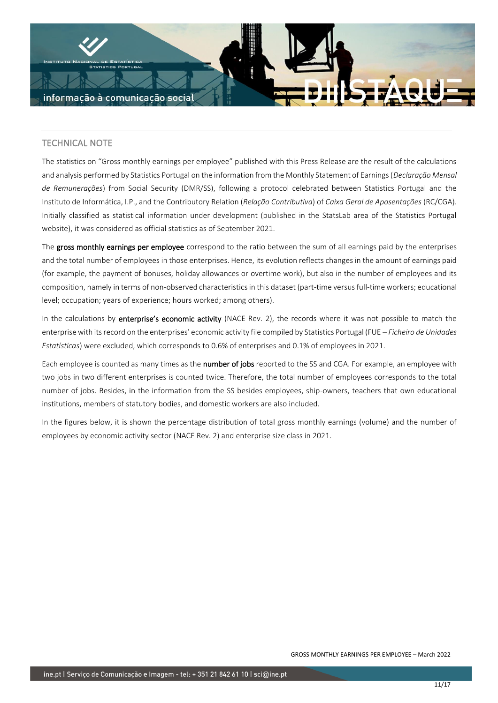

# TECHNICAL NOTE

The statistics on "Gross monthly earnings per employee" published with this Press Release are the result of the calculations and analysis performed by Statistics Portugal on the information from the Monthly Statement of Earnings (*Declaração Mensal de Remunerações*) from Social Security (DMR/SS), following a protocol celebrated between Statistics Portugal and the Instituto de Informática, I.P., and the Contributory Relation (*Relação Contributiva*) of *Caixa Geral de Aposentações* (RC/CGA). Initially classified as statistical information under development (published in the StatsLab area of the Statistics Portugal website), it was considered as official statistics as of September 2021.

The gross monthly earnings per employee correspond to the ratio between the sum of all earnings paid by the enterprises and the total number of employees in those enterprises. Hence, its evolution reflects changes in the amount of earnings paid (for example, the payment of bonuses, holiday allowances or overtime work), but also in the number of employees and its composition, namely in terms of non-observed characteristics in this dataset (part-time versus full-time workers; educational level; occupation; years of experience; hours worked; among others).

In the calculations by enterprise's economic activity (NACE Rev. 2), the records where it was not possible to match the enterprise with its record on the enterprises' economic activity file compiled by Statistics Portugal (FUE – *Ficheiro de Unidades Estatísticas*) were excluded, which corresponds to 0.6% of enterprises and 0.1% of employees in 2021.

Each employee is counted as many times as the number of jobs reported to the SS and CGA. For example, an employee with two jobs in two different enterprises is counted twice. Therefore, the total number of employees corresponds to the total number of jobs. Besides, in the information from the SS besides employees, ship-owners, teachers that own educational institutions, members of statutory bodies, and domestic workers are also included.

In the figures below, it is shown the percentage distribution of total gross monthly earnings (volume) and the number of employees by economic activity sector (NACE Rev. 2) and enterprise size class in 2021.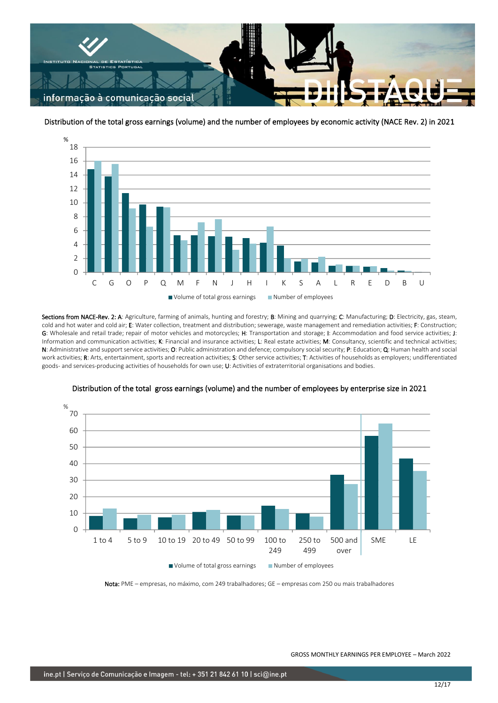

Distribution of the total gross earnings (volume) and the number of employees by economic activity (NACE Rev. 2) in 2021



Sections from NACE-Rev. 2: A: Agriculture, farming of animals, hunting and forestry; B: Mining and quarrying; C: Manufacturing; D: Electricity, gas, steam, cold and hot water and cold air; E: Water collection, treatment and distribution; sewerage, waste management and remediation activities; F: Construction; G: Wholesale and retail trade; repair of motor vehicles and motorcycles; H: Transportation and storage; I: Accommodation and food service activities; J: Information and communication activities; K: Financial and insurance activities; L: Real estate activities; M: Consultancy, scientific and technical activities; N: Administrative and support service activities; O: Public administration and defence; compulsory social security; P: Education; Q: Human health and social work activities; R: Arts, entertainment, sports and recreation activities; S: Other service activities; T: Activities of households as employers; undifferentiated goods- and services-producing activities of households for own use; U: Activities of extraterritorial organisations and bodies.



Distribution of the total gross earnings (volume) and the number of employees by enterprise size in 2021

Nota: PME – empresas, no máximo, com 249 trabalhadores; GE – empresas com 250 ou mais trabalhadores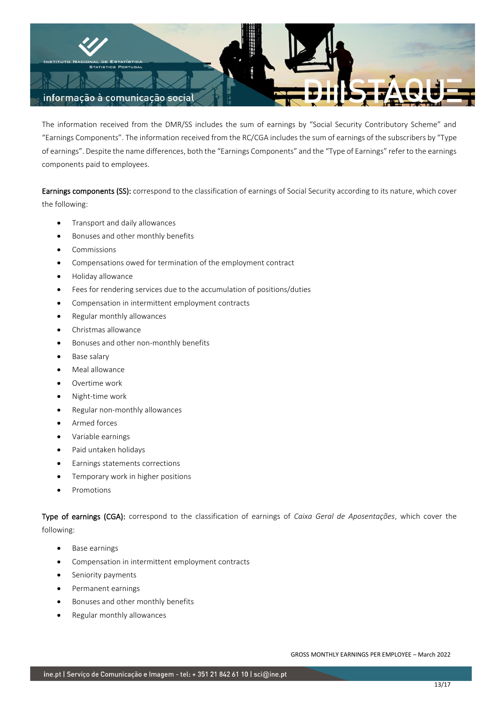

The information received from the DMR/SS includes the sum of earnings by "Social Security Contributory Scheme" and "Earnings Components". The information received from the RC/CGA includes the sum of earnings of the subscribers by "Type of earnings". Despite the name differences, both the "Earnings Components" and the "Type of Earnings" refer to the earnings components paid to employees.

Earnings components (SS): correspond to the classification of earnings of Social Security according to its nature, which cover the following:

- Transport and daily allowances
- Bonuses and other monthly benefits
- **Commissions**
- Compensations owed for termination of the employment contract
- Holiday allowance
- Fees for rendering services due to the accumulation of positions/duties
- Compensation in intermittent employment contracts
- Regular monthly allowances
- Christmas allowance
- Bonuses and other non-monthly benefits
- Base salary
- Meal allowance
- Overtime work
- Night-time work
- Regular non-monthly allowances
- Armed forces
- Variable earnings
- Paid untaken holidays
- Earnings statements corrections
- Temporary work in higher positions
- Promotions

Type of earnings (CGA): correspond to the classification of earnings of *Caixa Geral de Aposentações*, which cover the following:

- Base earnings
- Compensation in intermittent employment contracts
- Seniority payments
- Permanent earnings
- Bonuses and other monthly benefits
- Regular monthly allowances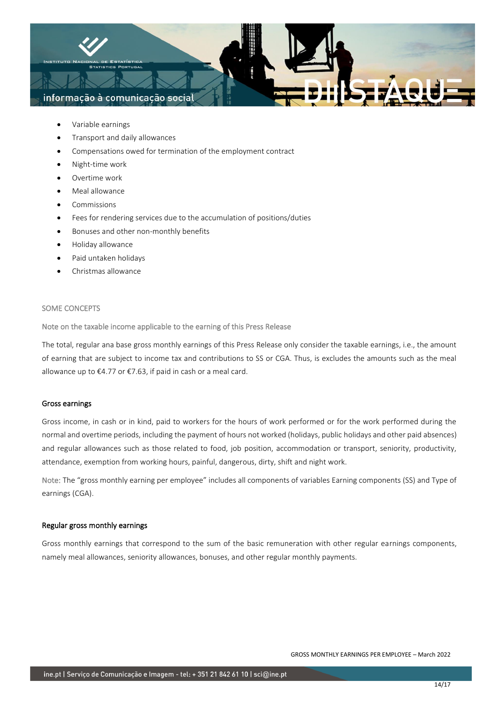

- Variable earnings
- Transport and daily allowances
- Compensations owed for termination of the employment contract
- Night-time work
- Overtime work
- Meal allowance
- Commissions
- Fees for rendering services due to the accumulation of positions/duties
- Bonuses and other non-monthly benefits
- Holiday allowance
- Paid untaken holidays
- Christmas allowance

## SOME CONCEPTS

Note on the taxable income applicable to the earning of this Press Release

The total, regular ana base gross monthly earnings of this Press Release only consider the taxable earnings, i.e., the amount of earning that are subject to income tax and contributions to SS or CGA. Thus, is excludes the amounts such as the meal allowance up to €4.77 or €7.63, if paid in cash or a meal card.

## Gross earnings

Gross income, in cash or in kind, paid to workers for the hours of work performed or for the work performed during the normal and overtime periods, including the payment of hours not worked (holidays, public holidays and other paid absences) and regular allowances such as those related to food, job position, accommodation or transport, seniority, productivity, attendance, exemption from working hours, painful, dangerous, dirty, shift and night work.

Note: The "gross monthly earning per employee" includes all components of variables Earning components (SS) and Type of earnings (CGA).

## Regular gross monthly earnings

Gross monthly earnings that correspond to the sum of the basic remuneration with other regular earnings components, namely meal allowances, seniority allowances, bonuses, and other regular monthly payments.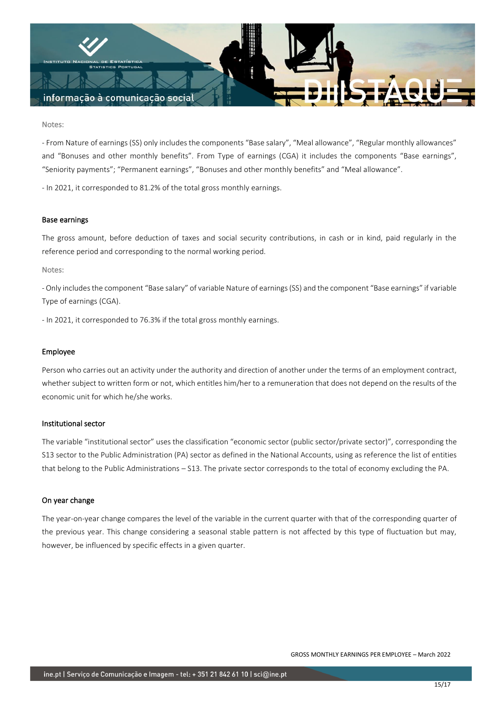

#### Notes:

- From Nature of earnings (SS) only includes the components "Base salary", "Meal allowance", "Regular monthly allowances" and "Bonuses and other monthly benefits". From Type of earnings (CGA) it includes the components "Base earnings", "Seniority payments"; "Permanent earnings", "Bonuses and other monthly benefits" and "Meal allowance".

- In 2021, it corresponded to 81.2% of the total gross monthly earnings.

#### Base earnings

The gross amount, before deduction of taxes and social security contributions, in cash or in kind, paid regularly in the reference period and corresponding to the normal working period.

### Notes:

- Only includes the component "Base salary" of variable Nature of earnings (SS) and the component "Base earnings" if variable Type of earnings (CGA).

- In 2021, it corresponded to 76.3% if the total gross monthly earnings.

### Employee

Person who carries out an activity under the authority and direction of another under the terms of an employment contract, whether subject to written form or not, which entitles him/her to a remuneration that does not depend on the results of the economic unit for which he/she works.

#### Institutional sector

The variable "institutional sector" uses the classification "economic sector (public sector/private sector)", corresponding the S13 sector to the Public Administration (PA) sector as defined in the National Accounts, using as reference the list of entities that belong to the Public Administrations – S13. The private sector corresponds to the total of economy excluding the PA.

### On year change

The year-on-year change compares the level of the variable in the current quarter with that of the corresponding quarter of the previous year. This change considering a seasonal stable pattern is not affected by this type of fluctuation but may, however, be influenced by specific effects in a given quarter.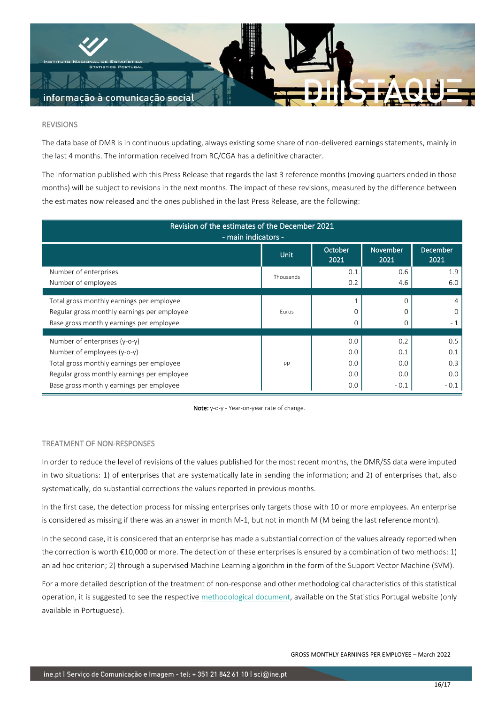

#### REVISIONS

The data base of DMR is in continuous updating, always existing some share of non-delivered earnings statements, mainly in the last 4 months. The information received from RC/CGA has a definitive character.

The information published with this Press Release that regards the last 3 reference months (moving quarters ended in those months) will be subject to revisions in the next months. The impact of these revisions, measured by the difference between the estimates now released and the ones published in the last Press Release, are the following:

| Revision of the estimates of the December 2021<br>- main indicators - |             |                 |                         |                         |  |  |  |  |  |
|-----------------------------------------------------------------------|-------------|-----------------|-------------------------|-------------------------|--|--|--|--|--|
|                                                                       | <b>Unit</b> | October<br>2021 | <b>November</b><br>2021 | <b>December</b><br>2021 |  |  |  |  |  |
| Number of enterprises                                                 | Thousands   | 0.1             | 0.6                     | 1.9                     |  |  |  |  |  |
| Number of employees                                                   |             | 0.2             | 4.6                     | 6.0                     |  |  |  |  |  |
|                                                                       |             |                 |                         |                         |  |  |  |  |  |
| Total gross monthly earnings per employee                             |             |                 |                         | 4                       |  |  |  |  |  |
| Regular gross monthly earnings per employee                           | Furos       | 0               | O                       | $\Omega$                |  |  |  |  |  |
| Base gross monthly earnings per employee                              |             | $\mathbf 0$     |                         | $-1$                    |  |  |  |  |  |
|                                                                       |             |                 |                         |                         |  |  |  |  |  |
| Number of enterprises (y-o-y)                                         |             | 0.0             | 0.2                     | 0.5                     |  |  |  |  |  |
| Number of employees (y-o-y)                                           |             | 0.0             | 0.1                     | 0.1                     |  |  |  |  |  |
| Total gross monthly earnings per employee                             | pp          | 0.0             | 0.0                     | 0.3                     |  |  |  |  |  |
| Regular gross monthly earnings per employee                           |             | 0.0             | 0.0                     | 0.0                     |  |  |  |  |  |
| Base gross monthly earnings per employee                              |             | 0.0             | $-0.1$                  | $-0.1$                  |  |  |  |  |  |

Note: y-o-y - Year-on-year rate of change.

#### TREATMENT OF NON-RESPONSES

In order to reduce the level of revisions of the values published for the most recent months, the DMR/SS data were imputed in two situations: 1) of enterprises that are systematically late in sending the information; and 2) of enterprises that, also systematically, do substantial corrections the values reported in previous months.

In the first case, the detection process for missing enterprises only targets those with 10 or more employees. An enterprise is considered as missing if there was an answer in month M-1, but not in month M (M being the last reference month).

In the second case, it is considered that an enterprise has made a substantial correction of the values already reported when the correction is worth €10,000 or more. The detection of these enterprises is ensured by a combination of two methods: 1) an ad hoc criterion; 2) through a supervised Machine Learning algorithm in the form of the Support Vector Machine (SVM).

For a more detailed description of the treatment of non-response and other methodological characteristics of this statistical operation, it is suggested to see the respective [methodological document,](https://smi.ine.pt/DocumentacaoMetodologica/Detalhes/1682) available on the Statistics Portugal website (only available in Portuguese).